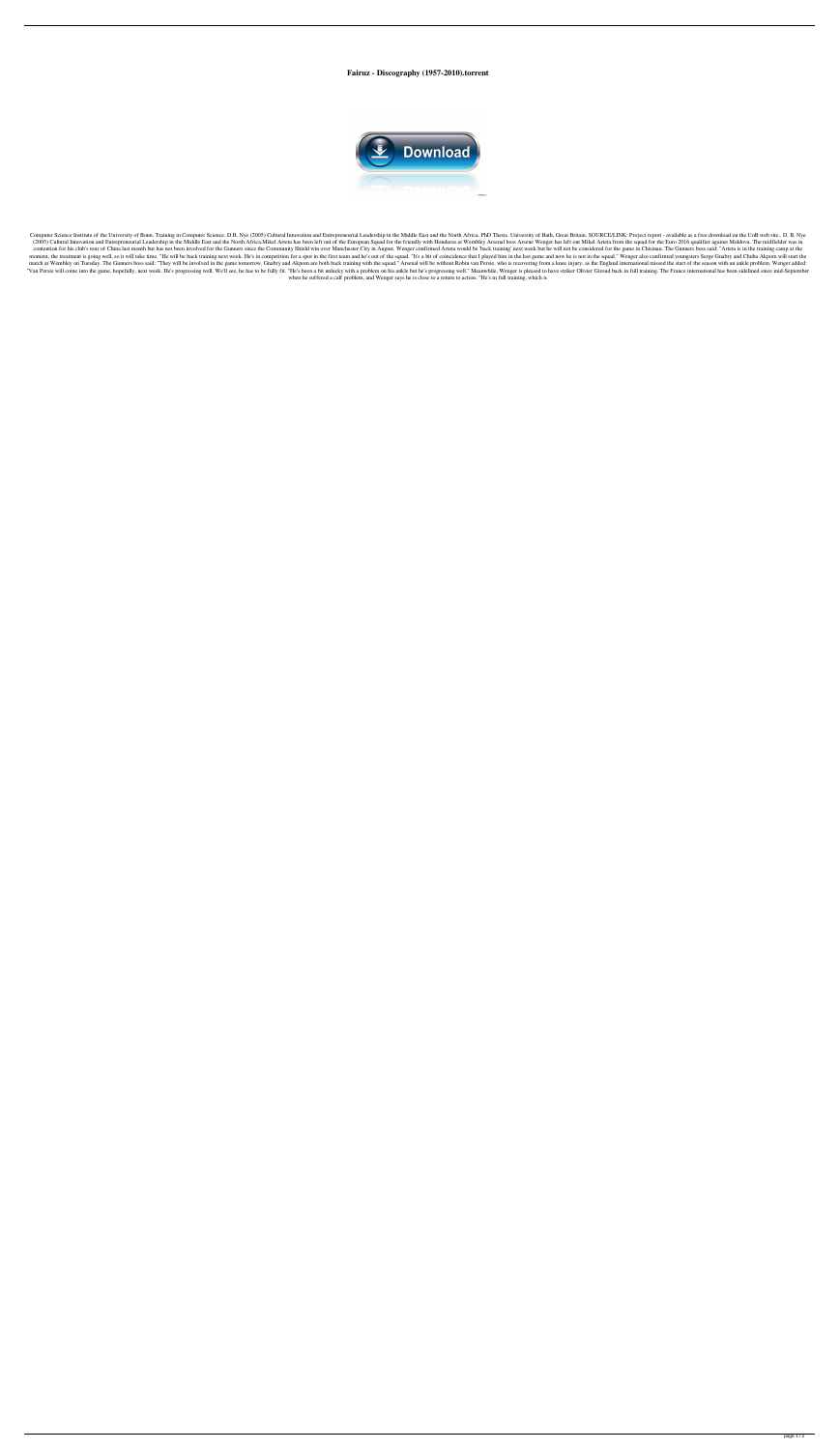**Fairuz - Discography (1957-2010).torrent**



Computer Science Institute of the University of Bonn. Training in Computer Science. D.B. Nye (2005) Cultural Innovation and Entrepreneurial Leadership in the Middle East and the North Africa. PhD Thesis. University of Bath (2005) Cultural Innovation and Entrepreneurial Leadership in the Middle East and the North Africa.Mikel Arteta has been left out of the European Squad for the friendly with Honduras at Wembley Arsenal boss Arsene Wenger ha contention for his club's tour of China last month but has not been involved for the Gunners since the Community Shield win over Manchester City in August. Wenger confirmed Arteta would be 'back training' next week but he moment, the treatment is going well, so it will take time. "He will be back training next week. He's in competition for a spot in the first team and he's out of the squad. "It's a bit of coincidence that I played him in th match at Wembley on Tuesday. The Gunners boss said: "They will be involved in the game tomorrow. Gnabry and Akpom are both back training with the squad." Arsenal will be without Robin van Persie, who is recovering from a k "Van Persie will come into the game, hopefully, next week. He's progressing well. We'll see, he has to be fully fit. "He's been a bit unlucky with a problem on his ankle but he's progressing well." Meanwhile, Wenger is ple when he suffered a calf problem, and Wenger says he is close to a return to action. "He's in full training, which is